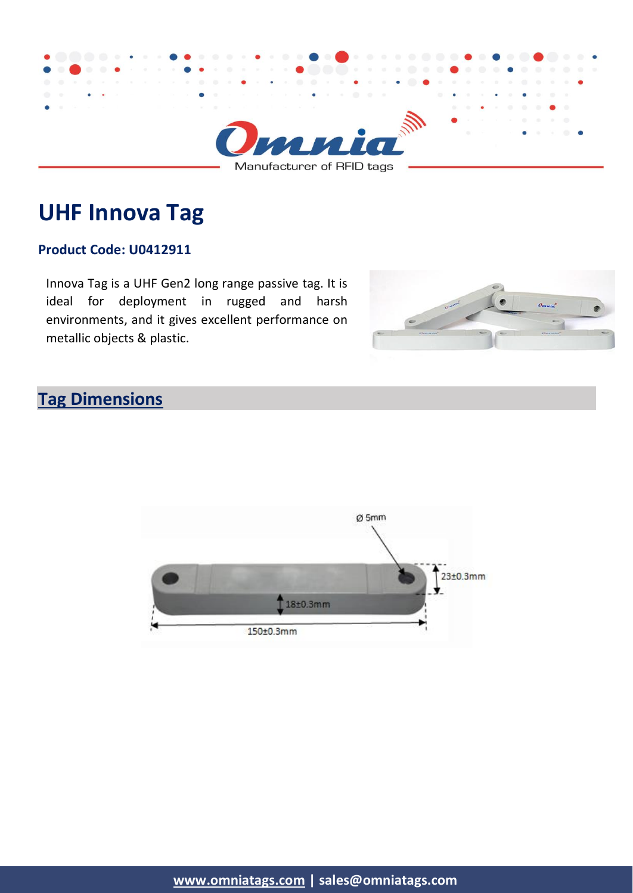

# **UHF Innova Tag**

#### **Product Code: U0412911**

Innova Tag is a UHF Gen2 long range passive tag. It is ideal for deployment in rugged and harsh environments, and it gives excellent performance on metallic objects & plastic.



## **Tag Dimensions**

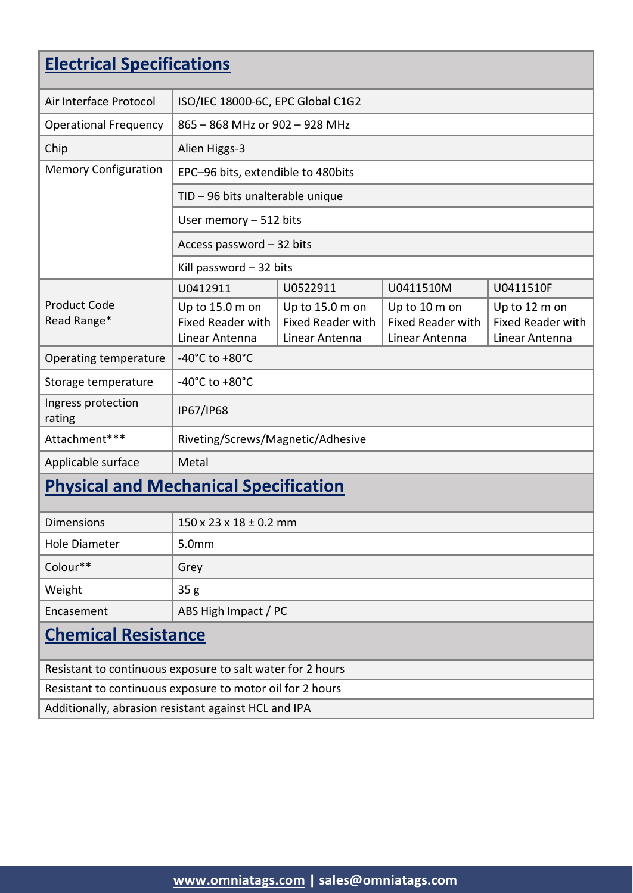| <b>Electrical Specifications</b>                           |                                                               |                                                               |                                                             |                                                             |  |
|------------------------------------------------------------|---------------------------------------------------------------|---------------------------------------------------------------|-------------------------------------------------------------|-------------------------------------------------------------|--|
| Air Interface Protocol                                     | ISO/IEC 18000-6C, EPC Global C1G2                             |                                                               |                                                             |                                                             |  |
| <b>Operational Frequency</b>                               | 865 - 868 MHz or 902 - 928 MHz                                |                                                               |                                                             |                                                             |  |
| Chip                                                       | Alien Higgs-3                                                 |                                                               |                                                             |                                                             |  |
| <b>Memory Configuration</b>                                | EPC-96 bits, extendible to 480bits                            |                                                               |                                                             |                                                             |  |
|                                                            | TID - 96 bits unalterable unique                              |                                                               |                                                             |                                                             |  |
|                                                            | User memory - 512 bits                                        |                                                               |                                                             |                                                             |  |
|                                                            | Access password - 32 bits                                     |                                                               |                                                             |                                                             |  |
|                                                            | Kill password $-32$ bits                                      |                                                               |                                                             |                                                             |  |
|                                                            | U0412911                                                      | U0522911                                                      | U0411510M                                                   | U0411510F                                                   |  |
| <b>Product Code</b><br>Read Range*                         | Up to 15.0 m on<br><b>Fixed Reader with</b><br>Linear Antenna | Up to 15.0 m on<br><b>Fixed Reader with</b><br>Linear Antenna | Up to 10 m on<br><b>Fixed Reader with</b><br>Linear Antenna | Up to 12 m on<br><b>Fixed Reader with</b><br>Linear Antenna |  |
| Operating temperature                                      | -40 $^{\circ}$ C to +80 $^{\circ}$ C                          |                                                               |                                                             |                                                             |  |
| Storage temperature                                        | -40 $^{\circ}$ C to +80 $^{\circ}$ C                          |                                                               |                                                             |                                                             |  |
| Ingress protection<br>rating                               | IP67/IP68                                                     |                                                               |                                                             |                                                             |  |
| Attachment***                                              | Riveting/Screws/Magnetic/Adhesive                             |                                                               |                                                             |                                                             |  |
| Applicable surface                                         | Metal                                                         |                                                               |                                                             |                                                             |  |
| <b>Physical and Mechanical Specification</b>               |                                                               |                                                               |                                                             |                                                             |  |
| <b>Dimensions</b>                                          | 150 x 23 x 18 ± 0.2 mm                                        |                                                               |                                                             |                                                             |  |
| <b>Hole Diameter</b>                                       | 5.0mm                                                         |                                                               |                                                             |                                                             |  |
| Colour**                                                   | Grey                                                          |                                                               |                                                             |                                                             |  |
| Weight                                                     | 35g                                                           |                                                               |                                                             |                                                             |  |
| Encasement                                                 | ABS High Impact / PC                                          |                                                               |                                                             |                                                             |  |
| <b>Chemical Resistance</b>                                 |                                                               |                                                               |                                                             |                                                             |  |
| Resistant to continuous exposure to salt water for 2 hours |                                                               |                                                               |                                                             |                                                             |  |
| Resistant to continuous exposure to motor oil for 2 hours  |                                                               |                                                               |                                                             |                                                             |  |
| Additionally, abrasion resistant against HCL and IPA       |                                                               |                                                               |                                                             |                                                             |  |